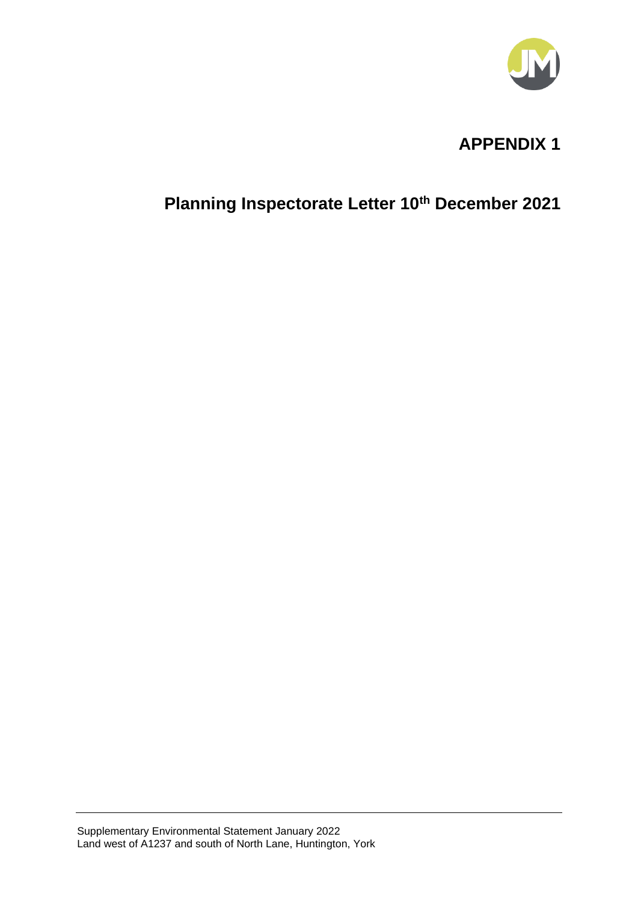

# **APPENDIX 1**

# **Planning Inspectorate Letter 10th December 2021**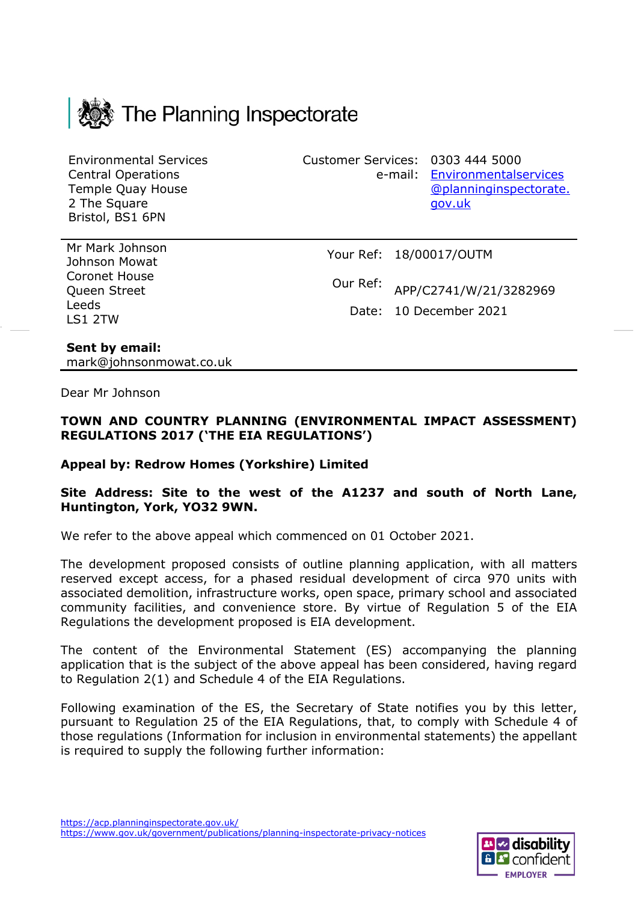

Environmental Services Central Operations Temple Quay House 2 The Square Bristol, BS1 6PN

Customer Services: 0303 444 5000

e-mail: [Environmentalservices](mailto:Environmentalservices@planninginspectorate.gov.uk) [@planninginspectorate.](mailto:Environmentalservices@planninginspectorate.gov.uk) [gov.uk](mailto:Environmentalservices@planninginspectorate.gov.uk)

Mr Mark Johnson Johnson Mowat Coronet House Queen Street Leeds LS1 2TW

Your Ref: 18/00017/OUTM

Our Ref: APP/C2741/W/21/3282969

Date: 10 December 2021

#### **Sent by email:** mark@johnsonmowat.co.uk

Dear Mr Johnson

#### **TOWN AND COUNTRY PLANNING (ENVIRONMENTAL IMPACT ASSESSMENT) REGULATIONS 2017 ('THE EIA REGULATIONS')**

#### **Appeal by: Redrow Homes (Yorkshire) Limited**

#### **Site Address: Site to the west of the A1237 and south of North Lane, Huntington, York, YO32 9WN.**

We refer to the above appeal which commenced on 01 October 2021.

The development proposed consists of outline planning application, with all matters reserved except access, for a phased residual development of circa 970 units with associated demolition, infrastructure works, open space, primary school and associated community facilities, and convenience store. By virtue of Regulation 5 of the EIA Regulations the development proposed is EIA development.

The content of the Environmental Statement (ES) accompanying the planning application that is the subject of the above appeal has been considered, having regard to Regulation 2(1) and Schedule 4 of the EIA Regulations.

Following examination of the ES, the Secretary of State notifies you by this letter, pursuant to Regulation 25 of the EIA Regulations, that, to comply with Schedule 4 of those regulations (Information for inclusion in environmental statements) the appellant is required to supply the following further information:

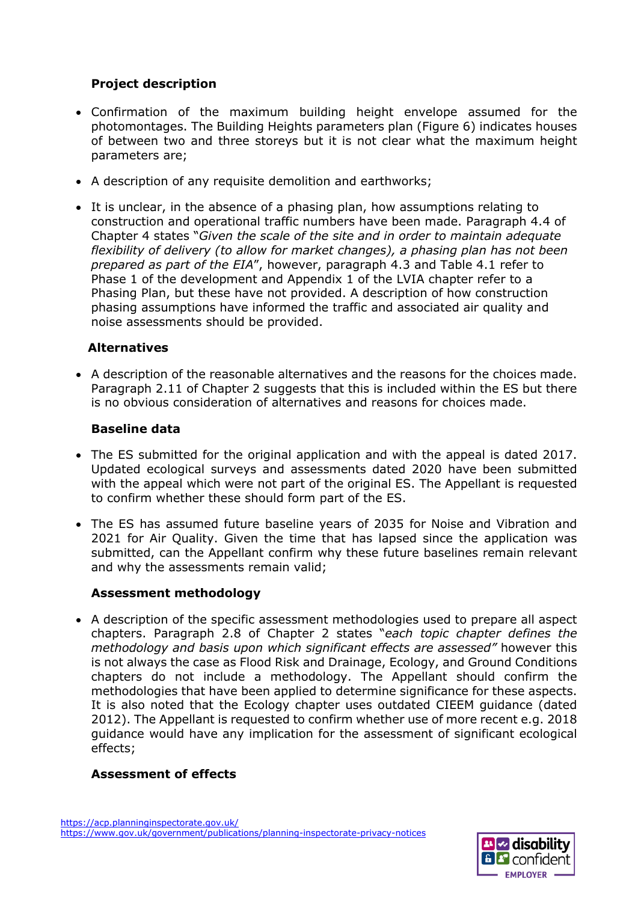## **Project description**

- Confirmation of the maximum building height envelope assumed for the photomontages. The Building Heights parameters plan (Figure 6) indicates houses of between two and three storeys but it is not clear what the maximum height parameters are;
- A description of any requisite demolition and earthworks;
- It is unclear, in the absence of a phasing plan, how assumptions relating to construction and operational traffic numbers have been made. Paragraph 4.4 of Chapter 4 states "*Given the scale of the site and in order to maintain adequate flexibility of delivery (to allow for market changes), a phasing plan has not been prepared as part of the EIA*", however, paragraph 4.3 and Table 4.1 refer to Phase 1 of the development and Appendix 1 of the LVIA chapter refer to a Phasing Plan, but these have not provided. A description of how construction phasing assumptions have informed the traffic and associated air quality and noise assessments should be provided.

#### **Alternatives**

• A description of the reasonable alternatives and the reasons for the choices made. Paragraph 2.11 of Chapter 2 suggests that this is included within the ES but there is no obvious consideration of alternatives and reasons for choices made.

#### **Baseline data**

- The ES submitted for the original application and with the appeal is dated 2017. Updated ecological surveys and assessments dated 2020 have been submitted with the appeal which were not part of the original ES. The Appellant is requested to confirm whether these should form part of the ES.
- The ES has assumed future baseline years of 2035 for Noise and Vibration and 2021 for Air Quality. Given the time that has lapsed since the application was submitted, can the Appellant confirm why these future baselines remain relevant and why the assessments remain valid;

### **Assessment methodology**

• A description of the specific assessment methodologies used to prepare all aspect chapters. Paragraph 2.8 of Chapter 2 states "*each topic chapter defines the methodology and basis upon which significant effects are assessed"* however this is not always the case as Flood Risk and Drainage, Ecology, and Ground Conditions chapters do not include a methodology. The Appellant should confirm the methodologies that have been applied to determine significance for these aspects. It is also noted that the Ecology chapter uses outdated CIEEM guidance (dated 2012). The Appellant is requested to confirm whether use of more recent e.g. 2018 guidance would have any implication for the assessment of significant ecological effects;

### **Assessment of effects**

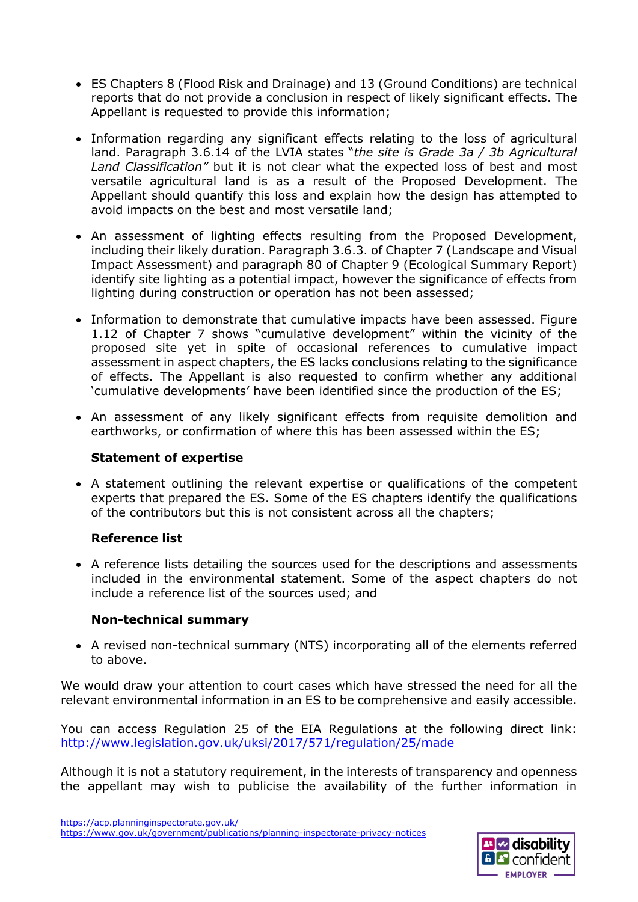- ES Chapters 8 (Flood Risk and Drainage) and 13 (Ground Conditions) are technical reports that do not provide a conclusion in respect of likely significant effects. The Appellant is requested to provide this information;
- Information regarding any significant effects relating to the loss of agricultural land. Paragraph 3.6.14 of the LVIA states "*the site is Grade 3a / 3b Agricultural Land Classification"* but it is not clear what the expected loss of best and most versatile agricultural land is as a result of the Proposed Development. The Appellant should quantify this loss and explain how the design has attempted to avoid impacts on the best and most versatile land;
- An assessment of lighting effects resulting from the Proposed Development, including their likely duration. Paragraph 3.6.3. of Chapter 7 (Landscape and Visual Impact Assessment) and paragraph 80 of Chapter 9 (Ecological Summary Report) identify site lighting as a potential impact, however the significance of effects from lighting during construction or operation has not been assessed;
- Information to demonstrate that cumulative impacts have been assessed. Figure 1.12 of Chapter 7 shows "cumulative development" within the vicinity of the proposed site yet in spite of occasional references to cumulative impact assessment in aspect chapters, the ES lacks conclusions relating to the significance of effects. The Appellant is also requested to confirm whether any additional 'cumulative developments' have been identified since the production of the ES;
- An assessment of any likely significant effects from requisite demolition and earthworks, or confirmation of where this has been assessed within the ES;

#### **Statement of expertise**

• A statement outlining the relevant expertise or qualifications of the competent experts that prepared the ES. Some of the ES chapters identify the qualifications of the contributors but this is not consistent across all the chapters;

### **Reference list**

• A reference lists detailing the sources used for the descriptions and assessments included in the environmental statement. Some of the aspect chapters do not include a reference list of the sources used; and

### **Non-technical summary**

• A revised non-technical summary (NTS) incorporating all of the elements referred to above.

We would draw your attention to court cases which have stressed the need for all the relevant environmental information in an ES to be comprehensive and easily accessible.

You can access Regulation 25 of the EIA Regulations at the following direct link: <http://www.legislation.gov.uk/uksi/2017/571/regulation/25/made>

Although it is not a statutory requirement, in the interests of transparency and openness the appellant may wish to publicise the availability of the further information in